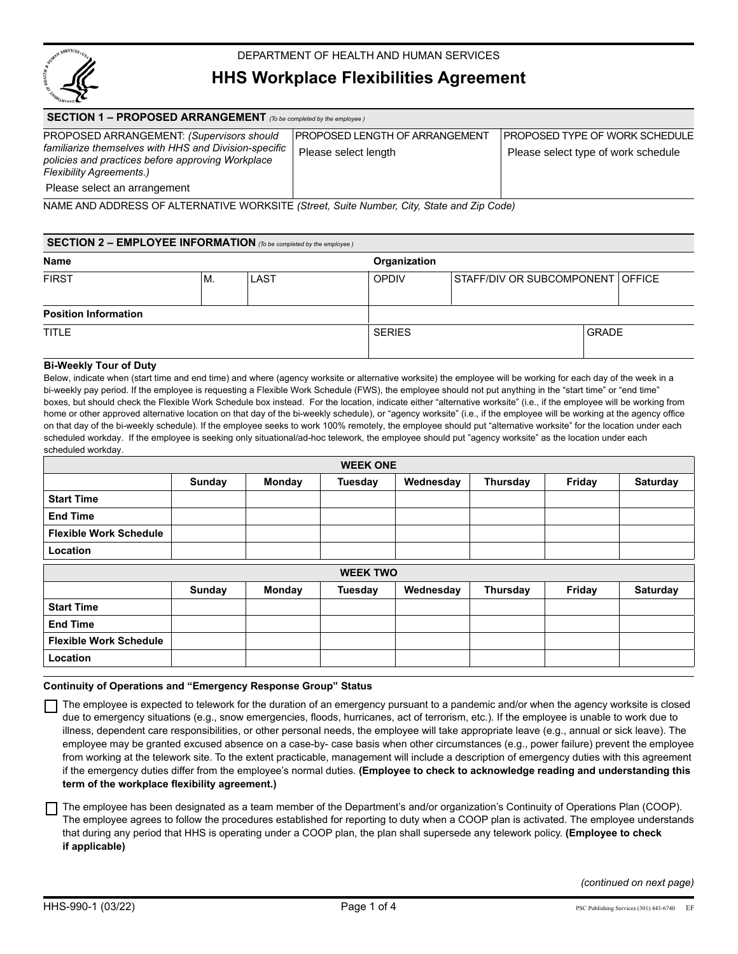

# DEPARTMENT OF HEALTH AND HUMAN SERVICES

# **HHS Workplace Flexibilities Agreement**

| <b>SECTION 1 – PROPOSED ARRANGEMENT</b> (To be completed by the employee)                          |                                |                                         |  |  |  |  |  |
|----------------------------------------------------------------------------------------------------|--------------------------------|-----------------------------------------|--|--|--|--|--|
| PROPOSED ARRANGEMENT: (Supervisors should<br>familiarize themselves with HHS and Division-specific | PROPOSED LENGTH OF ARRANGEMENT | <b>I PROPOSED TYPE OF WORK SCHEDULE</b> |  |  |  |  |  |
| policies and practices before approving Workplace                                                  | Please select length           | Please select type of work schedule     |  |  |  |  |  |
| <b>Flexibility Agreements.)</b>                                                                    |                                |                                         |  |  |  |  |  |
| Please select an arrangement                                                                       |                                |                                         |  |  |  |  |  |

NAME AND ADDRESS OF ALTERNATIVE WORKSITE *(Street, Suite Number, City, State and Zip Code)* 

| <b>SECTION 2 – EMPLOYEE INFORMATION</b> (To be completed by the employee) |    |      |               |                                  |              |  |
|---------------------------------------------------------------------------|----|------|---------------|----------------------------------|--------------|--|
| Name                                                                      |    |      | Organization  |                                  |              |  |
| <b>FIRST</b>                                                              | М. | LAST | <b>OPDIV</b>  | STAFF/DIV OR SUBCOMPONENT OFFICE |              |  |
| <b>Position Information</b>                                               |    |      |               |                                  |              |  |
| TITLE                                                                     |    |      | <b>SERIES</b> |                                  | <b>GRADE</b> |  |

#### **Bi-Weekly Tour of Duty**

Below, indicate when (start time and end time) and where (agency worksite or alternative worksite) the employee will be working for each day of the week in a bi-weekly pay period. If the employee is requesting a Flexible Work Schedule (FWS), the employee should not put anything in the "start time" or "end time" boxes, but should check the Flexible Work Schedule box instead. For the location, indicate either "alternative worksite" (i.e., if the employee will be working from home or other approved alternative location on that day of the bi-weekly schedule), or "agency worksite" (i.e., if the employee will be working at the agency office on that day of the bi-weekly schedule). If the employee seeks to work 100% remotely, the employee should put "alternative worksite" for the location under each scheduled workday. If the employee is seeking only situational/ad-hoc telework, the employee should put "agency worksite" as the location under each scheduled workday.

| <b>WEEK ONE</b>               |               |        |                |           |          |        |                 |
|-------------------------------|---------------|--------|----------------|-----------|----------|--------|-----------------|
|                               | <b>Sunday</b> | Monday | <b>Tuesday</b> | Wednesday | Thursday | Friday | Saturday        |
| <b>Start Time</b>             |               |        |                |           |          |        |                 |
| <b>End Time</b>               |               |        |                |           |          |        |                 |
| <b>Flexible Work Schedule</b> |               |        |                |           |          |        |                 |
| Location                      |               |        |                |           |          |        |                 |
| <b>WEEK TWO</b>               |               |        |                |           |          |        |                 |
|                               | <b>Sunday</b> | Monday | Tuesday        | Wednesday | Thursday | Friday | <b>Saturday</b> |
| <b>Start Time</b>             |               |        |                |           |          |        |                 |
| <b>End Time</b>               |               |        |                |           |          |        |                 |
| <b>Flexible Work Schedule</b> |               |        |                |           |          |        |                 |
| Location                      |               |        |                |           |          |        |                 |

#### **Continuity of Operations and "Emergency Response Group" Status**

 The employee is expected to telework for the duration of an emergency pursuant to a pandemic and/or when the agency worksite is closed due to emergency situations (e.g., snow emergencies, floods, hurricanes, act of terrorism, etc.). If the employee is unable to work due to illness, dependent care responsibilities, or other personal needs, the employee will take appropriate leave (e.g., annual or sick leave). The employee may be granted excused absence on a case-by- case basis when other circumstances (e.g., power failure) prevent the employee from working at the telework site. To the extent practicable, management will include a description of emergency duties with this agreement if the emergency duties differ from the employee's normal duties. **(Employee to check to acknowledge reading and understanding this term of the workplace flexibility agreement.)**

The employee has been designated as a team member of the Department's and/or organization's Continuity of Operations Plan (COOP). The employee agrees to follow the procedures established for reporting to duty when a COOP plan is activated. The employee understands that during any period that HHS is operating under a COOP plan, the plan shall supersede any telework policy. **(Employee to check if applicable)**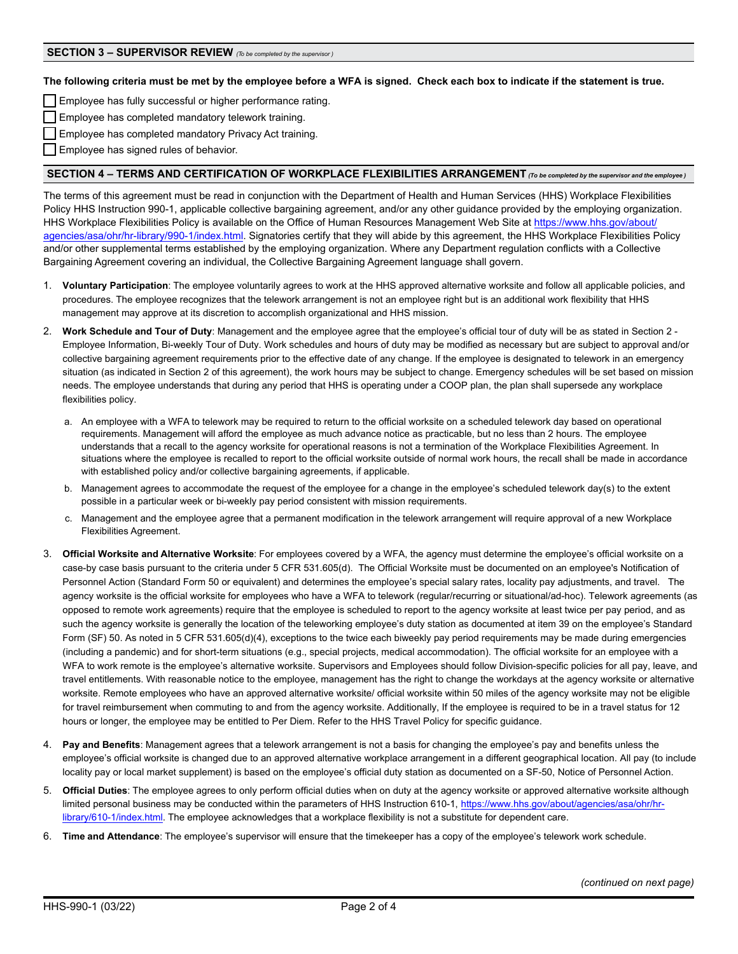**The following criteria must be met by the employee before a WFA is signed. Check each box to indicate if the statement is true.**

**Employee has fully successful or higher performance rating.** 

Employee has completed mandatory telework training.

Employee has completed mandatory Privacy Act training.

Employee has signed rules of behavior.

## **SECTION 4 – TERMS AND CERTIFICATION OF WORKPLACE FLEXIBILITIES ARRANGEMENT** *(To be completed by the supervisor and the employee )*

The terms of this agreement must be read in conjunction with the Department of Health and Human Services (HHS) Workplace Flexibilities Policy HHS Instruction 990-1, applicable collective bargaining agreement, and/or any other guidance provided by the employing organization. HHS Workplace Flexibilities Policy is available on the Office of Human Resources Management Web Site at [https://www.hhs.gov/about/](https://www.hhs.gov/about/agencies/asa/ohr/hr-library/990-1/index.html) [agencies/asa/ohr/hr-library/990-1/index.html.](https://www.hhs.gov/about/agencies/asa/ohr/hr-library/990-1/index.html) Signatories certify that they will abide by this agreement, the HHS Workplace Flexibilities Policy and/or other supplemental terms established by the employing organization. Where any Department regulation conflicts with a Collective Bargaining Agreement covering an individual, the Collective Bargaining Agreement language shall govern.

- 1. **Voluntary Participation**: The employee voluntarily agrees to work at the HHS approved alternative worksite and follow all applicable policies, and procedures. The employee recognizes that the telework arrangement is not an employee right but is an additional work flexibility that HHS management may approve at its discretion to accomplish organizational and HHS mission.
- 2. **Work Schedule and Tour of Duty**: Management and the employee agree that the employee's official tour of duty will be as stated in Section 2 Employee Information, Bi-weekly Tour of Duty. Work schedules and hours of duty may be modified as necessary but are subject to approval and/or collective bargaining agreement requirements prior to the effective date of any change. If the employee is designated to telework in an emergency situation (as indicated in Section 2 of this agreement), the work hours may be subject to change. Emergency schedules will be set based on mission needs. The employee understands that during any period that HHS is operating under a COOP plan, the plan shall supersede any workplace flexibilities policy.
	- a. An employee with a WFA to telework may be required to return to the official worksite on a scheduled telework day based on operational requirements. Management will afford the employee as much advance notice as practicable, but no less than 2 hours. The employee understands that a recall to the agency worksite for operational reasons is not a termination of the Workplace Flexibilities Agreement. In situations where the employee is recalled to report to the official worksite outside of normal work hours, the recall shall be made in accordance with established policy and/or collective bargaining agreements, if applicable.
	- b. Management agrees to accommodate the request of the employee for a change in the employee's scheduled telework day(s) to the extent possible in a particular week or bi-weekly pay period consistent with mission requirements.
	- c. Management and the employee agree that a permanent modification in the telework arrangement will require approval of a new Workplace Flexibilities Agreement.
- 3. **Official Worksite and Alternative Worksite**: For employees covered by a WFA, the agency must determine the employee's official worksite on a case-by case basis pursuant to the criteria under 5 CFR 531.605(d). The Official Worksite must be documented on an employee's Notification of Personnel Action (Standard Form 50 or equivalent) and determines the employee's special salary rates, locality pay adjustments, and travel. The agency worksite is the official worksite for employees who have a WFA to telework (regular/recurring or situational/ad-hoc). Telework agreements (as opposed to remote work agreements) require that the employee is scheduled to report to the agency worksite at least twice per pay period, and as such the agency worksite is generally the location of the teleworking employee's duty station as documented at item 39 on the employee's Standard Form (SF) 50. As noted in 5 CFR 531.605(d)(4), exceptions to the twice each biweekly pay period requirements may be made during emergencies (including a pandemic) and for short-term situations (e.g., special projects, medical accommodation). The official worksite for an employee with a WFA to work remote is the employee's alternative worksite. Supervisors and Employees should follow Division-specific policies for all pay, leave, and travel entitlements. With reasonable notice to the employee, management has the right to change the workdays at the agency worksite or alternative worksite. Remote employees who have an approved alternative worksite/ official worksite within 50 miles of the agency worksite may not be eligible for travel reimbursement when commuting to and from the agency worksite. Additionally, If the employee is required to be in a travel status for 12 hours or longer, the employee may be entitled to Per Diem. Refer to the HHS Travel Policy for specific guidance.
- 4. **Pay and Benefits**: Management agrees that a telework arrangement is not a basis for changing the employee's pay and benefits unless the employee's official worksite is changed due to an approved alternative workplace arrangement in a different geographical location. All pay (to include locality pay or local market supplement) is based on the employee's official duty station as documented on a SF-50, Notice of Personnel Action.
- 5. **Official Duties**: The employee agrees to only perform official duties when on duty at the agency worksite or approved alternative worksite although [limited personal business may be conducted within the parameters of HHS Instruction 610-1, https://www.hhs.gov/about/agencies/asa/ohr/hr](https://www.hhs.gov/about/agencies/asa/ohr/hr-library/610-1/index.html)library/610-1/index.html. The employee acknowledges that a workplace flexibility is not a substitute for dependent care.
- 6. **Time and Attendance**: The employee's supervisor will ensure that the timekeeper has a copy of the employee's telework work schedule.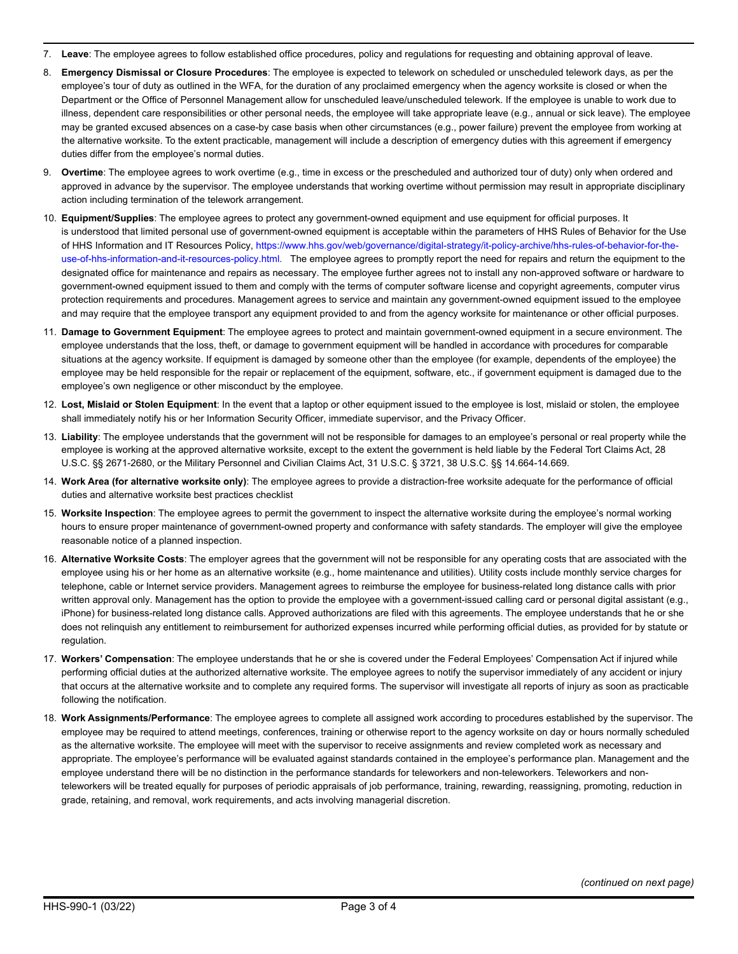- 7. **Leave**: The employee agrees to follow established office procedures, policy and regulations for requesting and obtaining approval of leave.
- 8. **Emergency Dismissal or Closure Procedures**: The employee is expected to telework on scheduled or unscheduled telework days, as per the employee's tour of duty as outlined in the WFA, for the duration of any proclaimed emergency when the agency worksite is closed or when the Department or the Office of Personnel Management allow for unscheduled leave/unscheduled telework. If the employee is unable to work due to illness, dependent care responsibilities or other personal needs, the employee will take appropriate leave (e.g., annual or sick leave). The employee may be granted excused absences on a case-by case basis when other circumstances (e.g., power failure) prevent the employee from working at the alternative worksite. To the extent practicable, management will include a description of emergency duties with this agreement if emergency duties differ from the employee's normal duties.
- 9. **Overtime**: The employee agrees to work overtime (e.g., time in excess or the prescheduled and authorized tour of duty) only when ordered and approved in advance by the supervisor. The employee understands that working overtime without permission may result in appropriate disciplinary action including termination of the telework arrangement.
- 10. **Equipment/Supplies**: The employee agrees to protect any government-owned equipment and use equipment for official purposes. It is understood that limited personal use of government-owned equipment is acceptable within the parameters of HHS Rules of Behavior for the Use of HHS Information and IT Resources Policy, https://www.hhs.gov/web/governance/digital-strategy/it-policy-archive/hhs-rules-of-behavior-for-the[use-of-hhs-information-and-it-resources-policy.html. The employee agrees to promptly report the need for repairs and return the](https://www.hhs.gov/web/governance/digital-strategy/it-policy-archive/hhs-rules-of-behavior-for-the-use-of-hhs-information-and-it-resources-policy.html) equipment to the designated office for maintenance and repairs as necessary. The employee further agrees not to install any non-approved software or hardware to government-owned equipment issued to them and comply with the terms of computer software license and copyright agreements, computer virus protection requirements and procedures. Management agrees to service and maintain any government-owned equipment issued to the employee and may require that the employee transport any equipment provided to and from the agency worksite for maintenance or other official purposes.
- 11. **Damage to Government Equipment**: The employee agrees to protect and maintain government-owned equipment in a secure environment. The employee understands that the loss, theft, or damage to government equipment will be handled in accordance with procedures for comparable situations at the agency worksite. If equipment is damaged by someone other than the employee (for example, dependents of the employee) the employee may be held responsible for the repair or replacement of the equipment, software, etc., if government equipment is damaged due to the employee's own negligence or other misconduct by the employee.
- 12. **Lost, Mislaid or Stolen Equipment**: In the event that a laptop or other equipment issued to the employee is lost, mislaid or stolen, the employee shall immediately notify his or her Information Security Officer, immediate supervisor, and the Privacy Officer.
- 13. **Liability**: The employee understands that the government will not be responsible for damages to an employee's personal or real property while the employee is working at the approved alternative worksite, except to the extent the government is held liable by the Federal Tort Claims Act, 28 U.S.C. §§ 2671-2680, or the Military Personnel and Civilian Claims Act, 31 U.S.C. § 3721, 38 U.S.C. §§ 14.664-14.669.
- 14. **Work Area (for alternative worksite only)**: The employee agrees to provide a distraction-free worksite adequate for the performance of official duties and alternative worksite best practices checklist
- 15. **Worksite Inspection**: The employee agrees to permit the government to inspect the alternative worksite during the employee's normal working hours to ensure proper maintenance of government-owned property and conformance with safety standards. The employer will give the employee reasonable notice of a planned inspection.
- 16. **Alternative Worksite Costs**: The employer agrees that the government will not be responsible for any operating costs that are associated with the employee using his or her home as an alternative worksite (e.g., home maintenance and utilities). Utility costs include monthly service charges for telephone, cable or Internet service providers. Management agrees to reimburse the employee for business-related long distance calls with prior written approval only. Management has the option to provide the employee with a government-issued calling card or personal digital assistant (e.g., iPhone) for business-related long distance calls. Approved authorizations are filed with this agreements. The employee understands that he or she does not relinquish any entitlement to reimbursement for authorized expenses incurred while performing official duties, as provided for by statute or regulation.
- 17. **Workers' Compensation**: The employee understands that he or she is covered under the Federal Employees' Compensation Act if injured while performing official duties at the authorized alternative worksite. The employee agrees to notify the supervisor immediately of any accident or injury that occurs at the alternative worksite and to complete any required forms. The supervisor will investigate all reports of injury as soon as practicable following the notification.
- 18. **Work Assignments/Performance**: The employee agrees to complete all assigned work according to procedures established by the supervisor. The employee may be required to attend meetings, conferences, training or otherwise report to the agency worksite on day or hours normally scheduled as the alternative worksite. The employee will meet with the supervisor to receive assignments and review completed work as necessary and appropriate. The employee's performance will be evaluated against standards contained in the employee's performance plan. Management and the employee understand there will be no distinction in the performance standards for teleworkers and non-teleworkers. Teleworkers and nonteleworkers will be treated equally for purposes of periodic appraisals of job performance, training, rewarding, reassigning, promoting, reduction in grade, retaining, and removal, work requirements, and acts involving managerial discretion.